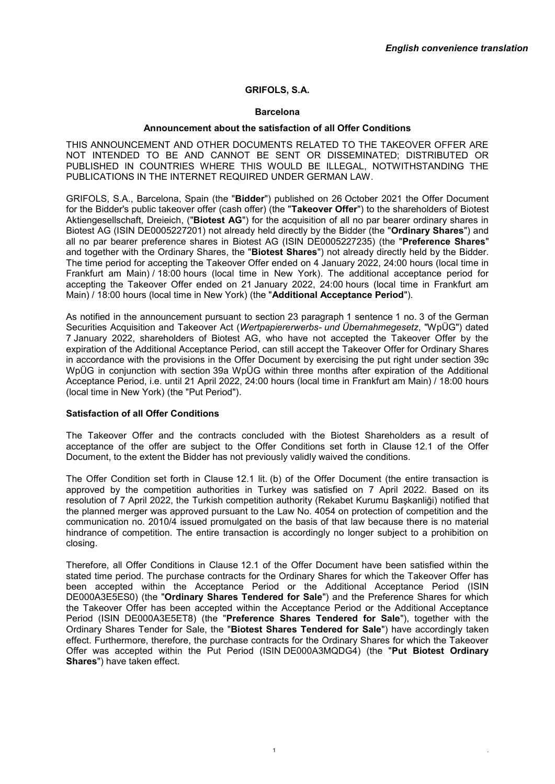# **GRIFOLS, S.A.**

### **Barcelona**

#### **Announcement about the satisfaction of all Offer Conditions**

THIS ANNOUNCEMENT AND OTHER DOCUMENTS RELATED TO THE TAKEOVER OFFER ARE NOT INTENDED TO BE AND CANNOT BE SENT OR DISSEMINATED; DISTRIBUTED OR PUBLISHED IN COUNTRIES WHERE THIS WOULD BE ILLEGAL, NOTWITHSTANDING THE PUBLICATIONS IN THE INTERNET REQUIRED UNDER GERMAN LAW.

GRIFOLS, S.A., Barcelona, Spain (the "**Bidder**") published on 26 October 2021 the Offer Document for the Bidder's public takeover offer (cash offer) (the "**Takeover Offer**") to the shareholders of Biotest Aktiengesellschaft, Dreieich, ("**Biotest AG**") for the acquisition of all no par bearer ordinary shares in Biotest AG (ISIN DE0005227201) not already held directly by the Bidder (the "**Ordinary Shares**") and all no par bearer preference shares in Biotest AG (ISIN DE0005227235) (the "**Preference Shares**" and together with the Ordinary Shares, the "**Biotest Shares**") not already directly held by the Bidder. The time period for accepting the Takeover Offer ended on 4 January 2022, 24:00 hours (local time in Frankfurt am Main) / 18:00 hours (local time in New York). The additional acceptance period for accepting the Takeover Offer ended on 21 January 2022, 24:00 hours (local time in Frankfurt am Main) / 18:00 hours (local time in New York) (the "**Additional Acceptance Period**").

As notified in the announcement pursuant to section 23 paragraph 1 sentence 1 no. 3 of the German Securities Acquisition and Takeover Act (*Wertpapiererwerbs- und Übernahmegesetz*, "WpÜG") dated 7 January 2022, shareholders of Biotest AG, who have not accepted the Takeover Offer by the expiration of the Additional Acceptance Period, can still accept the Takeover Offer for Ordinary Shares in accordance with the provisions in the Offer Document by exercising the put right under section 39c WpÜG in conjunction with section 39a WpÜG within three months after expiration of the Additional Acceptance Period, i.e. until 21 April 2022, 24:00 hours (local time in Frankfurt am Main) / 18:00 hours (local time in New York) (the "Put Period").

### **Satisfaction of all Offer Conditions**

The Takeover Offer and the contracts concluded with the Biotest Shareholders as a result of acceptance of the offer are subject to the Offer Conditions set forth in Clause 12.1 of the Offer Document, to the extent the Bidder has not previously validly waived the conditions.

The Offer Condition set forth in Clause 12.1 lit. (b) of the Offer Document (the entire transaction is approved by the competition authorities in Turkey was satisfied on 7 April 2022. Based on its resolution of 7 April 2022, the Turkish competition authority (Rekabet Kurumu Başkanliği) notified that the planned merger was approved pursuant to the Law No. 4054 on protection of competition and the communication no. 2010/4 issued promulgated on the basis of that law because there is no material hindrance of competition. The entire transaction is accordingly no longer subject to a prohibition on closing.

Therefore, all Offer Conditions in Clause 12.1 of the Offer Document have been satisfied within the stated time period. The purchase contracts for the Ordinary Shares for which the Takeover Offer has been accepted within the Acceptance Period or the Additional Acceptance Period (ISIN DE000A3E5ES0) (the "**Ordinary Shares Tendered for Sale**") and the Preference Shares for which the Takeover Offer has been accepted within the Acceptance Period or the Additional Acceptance Period (ISIN DE000A3E5ET8) (the "**Preference Shares Tendered for Sale**"), together with the Ordinary Shares Tender for Sale, the "**Biotest Shares Tendered for Sale**") have accordingly taken effect. Furthermore, therefore, the purchase contracts for the Ordinary Shares for which the Takeover Offer was accepted within the Put Period (ISIN DE000A3MQDG4) (the "**Put Biotest Ordinary Shares**") have taken effect.

1  $\blacksquare$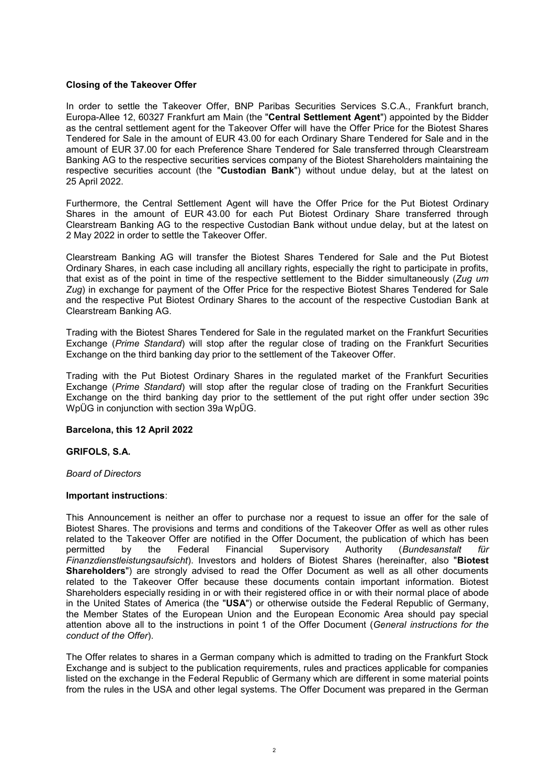## **Closing of the Takeover Offer**

In order to settle the Takeover Offer, BNP Paribas Securities Services S.C.A., Frankfurt branch, Europa-Allee 12, 60327 Frankfurt am Main (the "**Central Settlement Agent**") appointed by the Bidder as the central settlement agent for the Takeover Offer will have the Offer Price for the Biotest Shares Tendered for Sale in the amount of EUR 43.00 for each Ordinary Share Tendered for Sale and in the amount of EUR 37.00 for each Preference Share Tendered for Sale transferred through Clearstream Banking AG to the respective securities services company of the Biotest Shareholders maintaining the respective securities account (the "**Custodian Bank**") without undue delay, but at the latest on 25 April 2022.

Furthermore, the Central Settlement Agent will have the Offer Price for the Put Biotest Ordinary Shares in the amount of EUR 43.00 for each Put Biotest Ordinary Share transferred through Clearstream Banking AG to the respective Custodian Bank without undue delay, but at the latest on 2 May 2022 in order to settle the Takeover Offer.

Clearstream Banking AG will transfer the Biotest Shares Tendered for Sale and the Put Biotest Ordinary Shares, in each case including all ancillary rights, especially the right to participate in profits, that exist as of the point in time of the respective settlement to the Bidder simultaneously (*Zug um Zug*) in exchange for payment of the Offer Price for the respective Biotest Shares Tendered for Sale and the respective Put Biotest Ordinary Shares to the account of the respective Custodian Bank at Clearstream Banking AG.

Trading with the Biotest Shares Tendered for Sale in the regulated market on the Frankfurt Securities Exchange (*Prime Standard*) will stop after the regular close of trading on the Frankfurt Securities Exchange on the third banking day prior to the settlement of the Takeover Offer.

Trading with the Put Biotest Ordinary Shares in the regulated market of the Frankfurt Securities Exchange (*Prime Standard*) will stop after the regular close of trading on the Frankfurt Securities Exchange on the third banking day prior to the settlement of the put right offer under section 39c WpÜG in conjunction with section 39a WpÜG.

### **Barcelona, this 12 April 2022**

### **GRIFOLS, S.A.**

### *Board of Directors*

### **Important instructions**:

This Announcement is neither an offer to purchase nor a request to issue an offer for the sale of Biotest Shares. The provisions and terms and conditions of the Takeover Offer as well as other rules related to the Takeover Offer are notified in the Offer Document, the publication of which has been<br>permitted by the Federal Financial Supervisory Authority (Bundesanstalt für by the Federal Financial Supervisory Authority (*Bundesanstalt für Finanzdienstleistungsaufsicht*). Investors and holders of Biotest Shares (hereinafter, also "**Biotest Shareholders**") are strongly advised to read the Offer Document as well as all other documents related to the Takeover Offer because these documents contain important information. Biotest Shareholders especially residing in or with their registered office in or with their normal place of abode in the United States of America (the "**USA**") or otherwise outside the Federal Republic of Germany, the Member States of the European Union and the European Economic Area should pay special attention above all to the instructions in point 1 of the Offer Document (*General instructions for the conduct of the Offer*).

The Offer relates to shares in a German company which is admitted to trading on the Frankfurt Stock Exchange and is subject to the publication requirements, rules and practices applicable for companies listed on the exchange in the Federal Republic of Germany which are different in some material points from the rules in the USA and other legal systems. The Offer Document was prepared in the German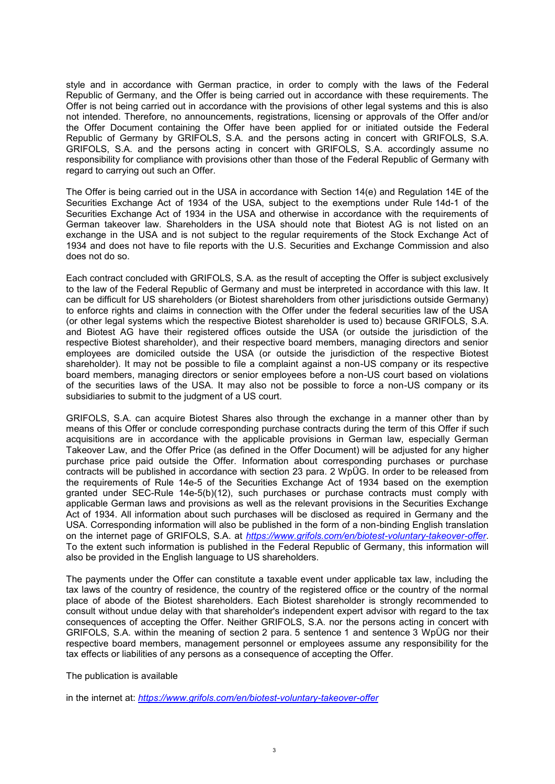style and in accordance with German practice, in order to comply with the laws of the Federal Republic of Germany, and the Offer is being carried out in accordance with these requirements. The Offer is not being carried out in accordance with the provisions of other legal systems and this is also not intended. Therefore, no announcements, registrations, licensing or approvals of the Offer and/or the Offer Document containing the Offer have been applied for or initiated outside the Federal Republic of Germany by GRIFOLS, S.A. and the persons acting in concert with GRIFOLS, S.A. GRIFOLS, S.A. and the persons acting in concert with GRIFOLS, S.A. accordingly assume no responsibility for compliance with provisions other than those of the Federal Republic of Germany with regard to carrying out such an Offer.

The Offer is being carried out in the USA in accordance with Section 14(e) and Regulation 14E of the Securities Exchange Act of 1934 of the USA, subject to the exemptions under Rule 14d-1 of the Securities Exchange Act of 1934 in the USA and otherwise in accordance with the requirements of German takeover law. Shareholders in the USA should note that Biotest AG is not listed on an exchange in the USA and is not subject to the regular requirements of the Stock Exchange Act of 1934 and does not have to file reports with the U.S. Securities and Exchange Commission and also does not do so.

Each contract concluded with GRIFOLS, S.A. as the result of accepting the Offer is subject exclusively to the law of the Federal Republic of Germany and must be interpreted in accordance with this law. It can be difficult for US shareholders (or Biotest shareholders from other jurisdictions outside Germany) to enforce rights and claims in connection with the Offer under the federal securities law of the USA (or other legal systems which the respective Biotest shareholder is used to) because GRIFOLS, S.A. and Biotest AG have their registered offices outside the USA (or outside the jurisdiction of the respective Biotest shareholder), and their respective board members, managing directors and senior employees are domiciled outside the USA (or outside the jurisdiction of the respective Biotest shareholder). It may not be possible to file a complaint against a non-US company or its respective board members, managing directors or senior employees before a non-US court based on violations of the securities laws of the USA. It may also not be possible to force a non-US company or its subsidiaries to submit to the judgment of a US court.

GRIFOLS, S.A. can acquire Biotest Shares also through the exchange in a manner other than by means of this Offer or conclude corresponding purchase contracts during the term of this Offer if such acquisitions are in accordance with the applicable provisions in German law, especially German Takeover Law, and the Offer Price (as defined in the Offer Document) will be adjusted for any higher purchase price paid outside the Offer. Information about corresponding purchases or purchase contracts will be published in accordance with section 23 para. 2 WpÜG. In order to be released from the requirements of Rule 14e-5 of the Securities Exchange Act of 1934 based on the exemption granted under SEC-Rule 14e-5(b)(12), such purchases or purchase contracts must comply with applicable German laws and provisions as well as the relevant provisions in the Securities Exchange Act of 1934. All information about such purchases will be disclosed as required in Germany and the USA. Corresponding information will also be published in the form of a non-binding English translation on the internet page of GRIFOLS, S.A. at *<https://www.grifols.com/en/biotest-voluntary-takeover-offer>*. To the extent such information is published in the Federal Republic of Germany, this information will also be provided in the English language to US shareholders.

The payments under the Offer can constitute a taxable event under applicable tax law, including the tax laws of the country of residence, the country of the registered office or the country of the normal place of abode of the Biotest shareholders. Each Biotest shareholder is strongly recommended to consult without undue delay with that shareholder's independent expert advisor with regard to the tax consequences of accepting the Offer. Neither GRIFOLS, S.A. nor the persons acting in concert with GRIFOLS, S.A. within the meaning of section 2 para. 5 sentence 1 and sentence 3 WpÜG nor their respective board members, management personnel or employees assume any responsibility for the tax effects or liabilities of any persons as a consequence of accepting the Offer.

The publication is available

in the internet at: *<https://www.grifols.com/en/biotest-voluntary-takeover-offer>*